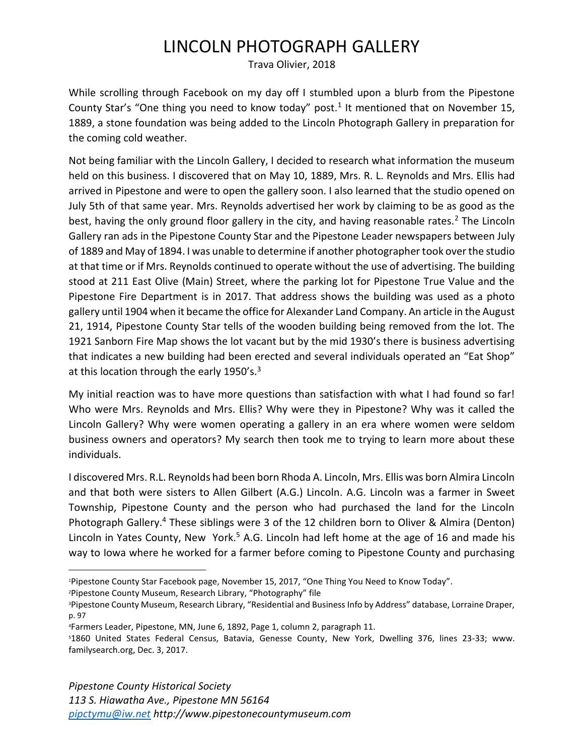## LINCOLN PHOTOGRAPH GALLERY

Trava Olivier, 2018

While scrolling through Facebook on my day off I stumbled upon a blurb from the Pipestone County Star's "One thing you need to know today" post.<sup>1</sup> It mentioned that on November 15, 1889, a stone foundation was being added to the Lincoln Photograph Gallery in preparation for the coming cold weather.

Not being familiar with the Lincoln Gallery, I decided to research what information the museum held on this business. I discovered that on May 10, 1889, Mrs. R. L. Reynolds and Mrs. Ellis had arrived in Pipestone and were to open the gallery soon. I also learned that the studio opened on July 5th of that same year. Mrs. Reynolds advertised her work by claiming to be as good as the best, having the only ground floor gallery in the city, and having reasonable rates.<sup>2</sup> The Lincoln Gallery ran ads in the Pipestone County Star and the Pipestone Leader newspapers between July of 1889 and May of 1894. I was unable to determine if another photographer took over the studio at that time or if Mrs. Reynolds continued to operate without the use of advertising. The building stood at 211 East Olive (Main) Street, where the parking lot for Pipestone True Value and the Pipestone Fire Department is in 2017. That address shows the building was used as a photo gallery until 1904 when it became the office for Alexander Land Company. An article in the August 21, 1914, Pipestone County Star tells of the wooden building being removed from the lot. The 1921 Sanborn Fire Map shows the lot vacant but by the mid 1930's there is business advertising that indicates a new building had been erected and several individuals operated an "Eat Shop" at this location through the early  $1950's$ .<sup>3</sup>

My initial reaction was to have more questions than satisfaction with what I had found so far! Who were Mrs. Reynolds and Mrs. Ellis? Why were they in Pipestone? Why was it called the Lincoln Gallery? Why were women operating a gallery in an era where women were seldom business owners and operators? My search then took me to trying to learn more about these individuals.

I discovered Mrs. R.L. Reynolds had been born Rhoda A. Lincoln, Mrs. Ellis was born Almira Lincoln and that both were sisters to Allen Gilbert (A.G.) Lincoln. A.G. Lincoln was a farmer in Sweet Township, Pipestone County and the person who had purchased the land for the Lincoln Photograph Gallery.<sup>4</sup> These siblings were 3 of the 12 children born to Oliver & Almira (Denton) Lincoln in Yates County, New York.<sup>5</sup> A.G. Lincoln had left home at the age of 16 and made his way to Iowa where he worked for a farmer before coming to Pipestone County and purchasing

<sup>2</sup>Pipestone County Museum, Research Library, "Photography" file

<sup>1</sup>Pipestone County Star Facebook page, November 15, 2017, "One Thing You Need to Know Today".

<sup>&</sup>lt;sup>3</sup>Pipestone County Museum, Research Library, "Residential and Business Info by Address" database, Lorraine Draper, p. 97

<sup>4</sup>Farmers Leader, Pipestone, MN, June 6, 1892, Page 1, column 2, paragraph 11.

<sup>5</sup>1860 United States Federal Census, Batavia, Genesse County, New York, Dwelling 376, lines 23-33; www. familysearch.org, Dec. 3, 2017.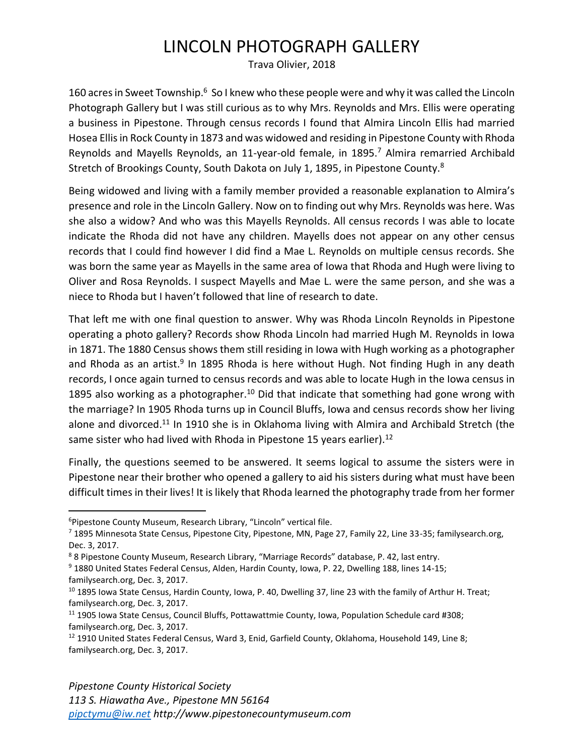## LINCOLN PHOTOGRAPH GALLERY

Trava Olivier, 2018

160 acres in Sweet Township.<sup>6</sup> So I knew who these people were and why it was called the Lincoln Photograph Gallery but I was still curious as to why Mrs. Reynolds and Mrs. Ellis were operating a business in Pipestone. Through census records I found that Almira Lincoln Ellis had married Hosea Ellis in Rock County in 1873 and was widowed and residing in Pipestone County with Rhoda Reynolds and Mayells Reynolds, an 11-year-old female, in 1895.<sup>7</sup> Almira remarried Archibald Stretch of Brookings County, South Dakota on July 1, 1895, in Pipestone County.<sup>8</sup>

Being widowed and living with a family member provided a reasonable explanation to Almira's presence and role in the Lincoln Gallery. Now on to finding out why Mrs. Reynolds was here. Was she also a widow? And who was this Mayells Reynolds. All census records I was able to locate indicate the Rhoda did not have any children. Mayells does not appear on any other census records that I could find however I did find a Mae L. Reynolds on multiple census records. She was born the same year as Mayells in the same area of Iowa that Rhoda and Hugh were living to Oliver and Rosa Reynolds. I suspect Mayells and Mae L. were the same person, and she was a niece to Rhoda but I haven't followed that line of research to date.

That left me with one final question to answer. Why was Rhoda Lincoln Reynolds in Pipestone operating a photo gallery? Records show Rhoda Lincoln had married Hugh M. Reynolds in Iowa in 1871. The 1880 Census shows them still residing in Iowa with Hugh working as a photographer and Rhoda as an artist.<sup>9</sup> In 1895 Rhoda is here without Hugh. Not finding Hugh in any death records, I once again turned to census records and was able to locate Hugh in the Iowa census in 1895 also working as a photographer.<sup>10</sup> Did that indicate that something had gone wrong with the marriage? In 1905 Rhoda turns up in Council Bluffs, Iowa and census records show her living alone and divorced.<sup>11</sup> In 1910 she is in Oklahoma living with Almira and Archibald Stretch (the same sister who had lived with Rhoda in Pipestone 15 years earlier).<sup>12</sup>

Finally, the questions seemed to be answered. It seems logical to assume the sisters were in Pipestone near their brother who opened a gallery to aid his sisters during what must have been difficult times in their lives! It is likely that Rhoda learned the photography trade from her former

<sup>&</sup>lt;sup>6</sup>Pipestone County Museum, Research Library, "Lincoln" vertical file.

<sup>7</sup> 1895 Minnesota State Census, Pipestone City, Pipestone, MN, Page 27, Family 22, Line 33-35; familysearch.org, Dec. 3, 2017.

<sup>8</sup> 8 Pipestone County Museum, Research Library, "Marriage Records" database, P. 42, last entry.

<sup>9</sup> 1880 United States Federal Census, Alden, Hardin County, Iowa, P. 22, Dwelling 188, lines 14-15; familysearch.org, Dec. 3, 2017.

<sup>&</sup>lt;sup>10</sup> 1895 Iowa State Census, Hardin County, Iowa, P. 40, Dwelling 37, line 23 with the family of Arthur H. Treat; familysearch.org, Dec. 3, 2017.

<sup>11</sup> 1905 Iowa State Census, Council Bluffs, Pottawattmie County, Iowa, Population Schedule card #308; familysearch.org, Dec. 3, 2017.

<sup>&</sup>lt;sup>12</sup> 1910 United States Federal Census, Ward 3, Enid, Garfield County, Oklahoma, Household 149, Line 8; familysearch.org, Dec. 3, 2017.